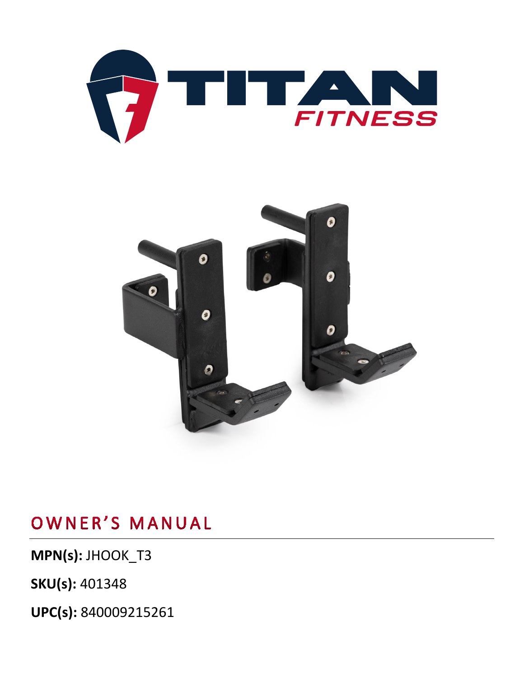



**MPN(s):** JHOOK\_T3

**SKU(s):** 401348

**UPC(s):** 840009215261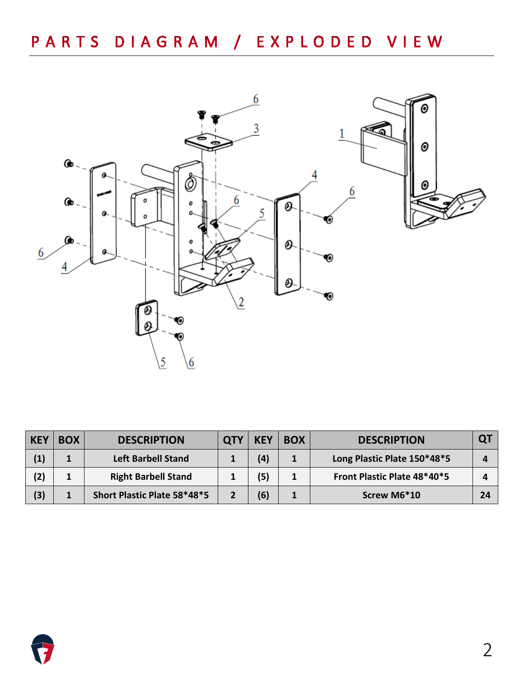

| <b>KEY</b> | <b>BOX</b> | <b>DESCRIPTION</b>          | <b>KEY</b> | <b>BOX</b> | <b>DESCRIPTION</b>          | Q. |
|------------|------------|-----------------------------|------------|------------|-----------------------------|----|
| (1)        |            | <b>Left Barbell Stand</b>   | (4)        |            | Long Plastic Plate 150*48*5 |    |
| (2)        | л.         | <b>Right Barbell Stand</b>  | (5)        |            | Front Plastic Plate 48*40*5 |    |
| (3)        |            | Short Plastic Plate 58*48*5 | (6)        |            | Screw M6*10                 | 24 |